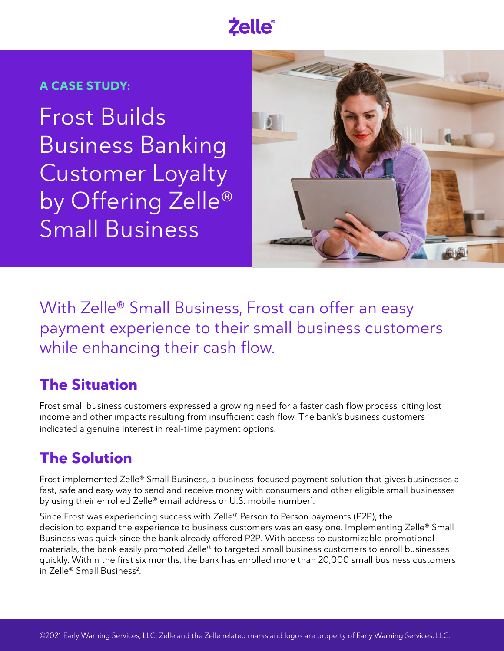# **Zelle**®

#### **A CASE STUDY:**

Frost Builds Business Banking Customer Loyalty by Offering Zelle® Small Business



With Zelle® Small Business, Frost can offer an easy payment experience to their small business customers while enhancing their cash flow.

### **The Situation**

Frost small business customers expressed a growing need for a faster cash flow process, citing lost income and other impacts resulting from insufficient cash flow. The bank's business customers indicated a genuine interest in real-time payment options.

### **The Solution**

Frost implemented Zelle® Small Business, a business-focused payment solution that gives businesses a fast, safe and easy way to send and receive money with consumers and other eligible small businesses by using their enrolled Zelle® email address or U.S. mobile number $^1$ .

Since Frost was experiencing success with Zelle® Person to Person payments (P2P), the decision to expand the experience to business customers was an easy one. Implementing Zelle® Small Business was quick since the bank already offered P2P. With access to customizable promotional materials, the bank easily promoted Zelle® to targeted small business customers to enroll businesses quickly. Within the first six months, the bank has enrolled more than 20,000 small business customers in Zelle® Small Business<sup>2</sup>.